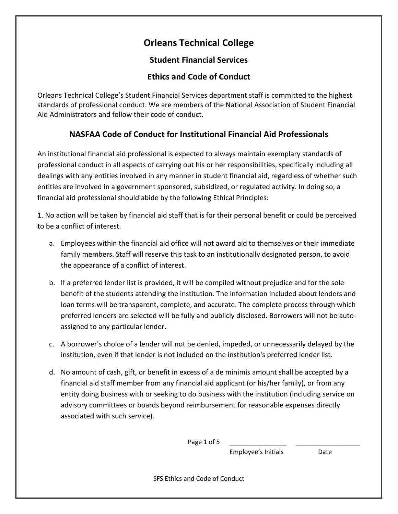# **Orleans Technical College**

### **Student Financial Services**

## **Ethics and Code of Conduct**

Orleans Technical College's Student Financial Services department staff is committed to the highest standards of professional conduct. We are members of the National Association of Student Financial Aid Administrators and follow their code of conduct.

# **NASFAA Code of Conduct for Institutional Financial Aid Professionals**

An institutional financial aid professional is expected to always maintain exemplary standards of professional conduct in all aspects of carrying out his or her responsibilities, specifically including all dealings with any entities involved in any manner in student financial aid, regardless of whether such entities are involved in a government sponsored, subsidized, or regulated activity. In doing so, a financial aid professional should abide by the following Ethical Principles:

1. No action will be taken by financial aid staff that is for their personal benefit or could be perceived to be a conflict of interest.

- a. Employees within the financial aid office will not award aid to themselves or their immediate family members. Staff will reserve this task to an institutionally designated person, to avoid the appearance of a conflict of interest.
- b. If a preferred lender list is provided, it will be compiled without prejudice and for the sole benefit of the students attending the institution. The information included about lenders and loan terms will be transparent, complete, and accurate. The complete process through which preferred lenders are selected will be fully and publicly disclosed. Borrowers will not be autoassigned to any particular lender.
- c. A borrower's choice of a lender will not be denied, impeded, or unnecessarily delayed by the institution, even if that lender is not included on the institution's preferred lender list.
- d. No amount of cash, gift, or benefit in excess of a de minimis amount shall be accepted by a financial aid staff member from any financial aid applicant (or his/her family), or from any entity doing business with or seeking to do business with the institution (including service on advisory committees or boards beyond reimbursement for reasonable expenses directly associated with such service).

Page 1 of 5

Employee's Initials Date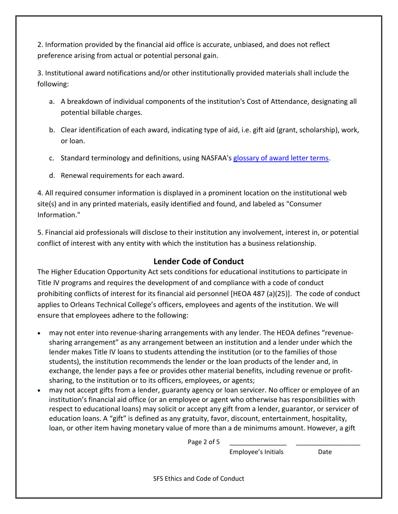2. Information provided by the financial aid office is accurate, unbiased, and does not reflect preference arising from actual or potential personal gain.

3. Institutional award notifications and/or other institutionally provided materials shall include the following:

- a. A breakdown of individual components of the institution's Cost of Attendance, designating all potential billable charges.
- b. Clear identification of each award, indicating type of aid, i.e. gift aid (grant, scholarship), work, or loan.
- c. Standard terminology and definitions, using NASFAA's [glossary of award letter terms.](https://www.nasfaa.org/news-item/3976/Glossary_of_Terms_for_Award_Notifications)
- d. Renewal requirements for each award.

4. All required consumer information is displayed in a prominent location on the institutional web site(s) and in any printed materials, easily identified and found, and labeled as "Consumer Information."

5. Financial aid professionals will disclose to their institution any involvement, interest in, or potential conflict of interest with any entity with which the institution has a business relationship.

## **Lender Code of Conduct**

The Higher Education Opportunity Act sets conditions for educational institutions to participate in Title IV programs and requires the development of and compliance with a code of conduct prohibiting conflicts of interest for its financial aid personnel [HEOA 487 (a)(25)]. The code of conduct applies to Orleans Technical College's officers, employees and agents of the institution. We will ensure that employees adhere to the following:

- may not enter into revenue-sharing arrangements with any lender. The HEOA defines "revenuesharing arrangement" as any arrangement between an institution and a lender under which the lender makes Title IV loans to students attending the institution (or to the families of those students), the institution recommends the lender or the loan products of the lender and, in exchange, the lender pays a fee or provides other material benefits, including revenue or profitsharing, to the institution or to its officers, employees, or agents;
- may not accept gifts from a lender, guaranty agency or loan servicer. No officer or employee of an institution's financial aid office (or an employee or agent who otherwise has responsibilities with respect to educational loans) may solicit or accept any gift from a lender, guarantor, or servicer of education loans. A "gift" is defined as any gratuity, favor, discount, entertainment, hospitality, loan, or other item having monetary value of more than a de minimums amount. However, a gift

Page 2 of  $5$ 

Employee's Initials Date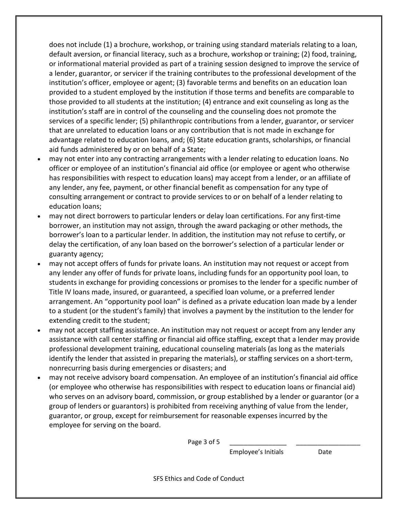does not include (1) a brochure, workshop, or training using standard materials relating to a loan, default aversion, or financial literacy, such as a brochure, workshop or training; (2) food, training, or informational material provided as part of a training session designed to improve the service of a lender, guarantor, or servicer if the training contributes to the professional development of the institution's officer, employee or agent; (3) favorable terms and benefits on an education loan provided to a student employed by the institution if those terms and benefits are comparable to those provided to all students at the institution; (4) entrance and exit counseling as long as the institution's staff are in control of the counseling and the counseling does not promote the services of a specific lender; (5) philanthropic contributions from a lender, guarantor, or servicer that are unrelated to education loans or any contribution that is not made in exchange for advantage related to education loans, and; (6) State education grants, scholarships, or financial aid funds administered by or on behalf of a State;

- may not enter into any contracting arrangements with a lender relating to education loans. No officer or employee of an institution's financial aid office (or employee or agent who otherwise has responsibilities with respect to education loans) may accept from a lender, or an affiliate of any lender, any fee, payment, or other financial benefit as compensation for any type of consulting arrangement or contract to provide services to or on behalf of a lender relating to education loans;
- may not direct borrowers to particular lenders or delay loan certifications. For any first-time borrower, an institution may not assign, through the award packaging or other methods, the borrower's loan to a particular lender. In addition, the institution may not refuse to certify, or delay the certification, of any loan based on the borrower's selection of a particular lender or guaranty agency;
- may not accept offers of funds for private loans. An institution may not request or accept from any lender any offer of funds for private loans, including funds for an opportunity pool loan, to students in exchange for providing concessions or promises to the lender for a specific number of Title IV loans made, insured, or guaranteed, a specified loan volume, or a preferred lender arrangement. An "opportunity pool loan" is defined as a private education loan made by a lender to a student (or the student's family) that involves a payment by the institution to the lender for extending credit to the student;
- may not accept staffing assistance. An institution may not request or accept from any lender any assistance with call center staffing or financial aid office staffing, except that a lender may provide professional development training, educational counseling materials (as long as the materials identify the lender that assisted in preparing the materials), or staffing services on a short-term, nonrecurring basis during emergencies or disasters; and
- may not receive advisory board compensation. An employee of an institution's financial aid office (or employee who otherwise has responsibilities with respect to education loans or financial aid) who serves on an advisory board, commission, or group established by a lender or guarantor (or a group of lenders or guarantors) is prohibited from receiving anything of value from the lender, guarantor, or group, except for reimbursement for reasonable expenses incurred by the employee for serving on the board.

Page 3 of 5

Employee's Initials Date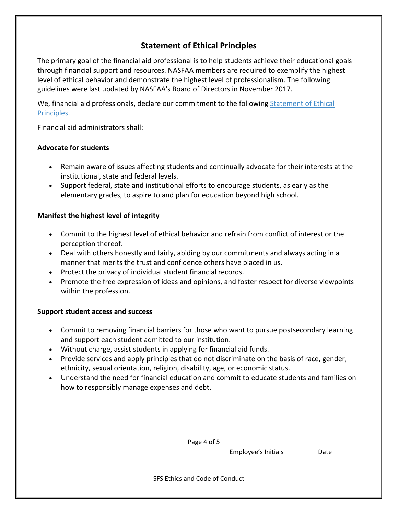### **Statement of Ethical Principles**

The primary goal of the financial aid professional is to help students achieve their educational goals through financial support and resources. NASFAA members are required to exemplify the highest level of ethical behavior and demonstrate the highest level of professionalism. The following guidelines were last updated by NASFAA's Board of Directors in November 2017.

We, financial aid professionals, declare our commitment to the following Statement of Ethical [Principles.](https://www.nasfaa.org/uploads/documents/Statement_of_Ethical_Principles.pdf)

Financial aid administrators shall:

#### **Advocate for students**

- Remain aware of issues affecting students and continually advocate for their interests at the institutional, state and federal levels.
- Support federal, state and institutional efforts to encourage students, as early as the elementary grades, to aspire to and plan for education beyond high school.

#### **Manifest the highest level of integrity**

- Commit to the highest level of ethical behavior and refrain from conflict of interest or the perception thereof.
- Deal with others honestly and fairly, abiding by our commitments and always acting in a manner that merits the trust and confidence others have placed in us.
- Protect the privacy of individual student financial records.
- Promote the free expression of ideas and opinions, and foster respect for diverse viewpoints within the profession.

#### **Support student access and success**

- Commit to removing financial barriers for those who want to pursue postsecondary learning and support each student admitted to our institution.
- Without charge, assist students in applying for financial aid funds.
- Provide services and apply principles that do not discriminate on the basis of race, gender, ethnicity, sexual orientation, religion, disability, age, or economic status.
- Understand the need for financial education and commit to educate students and families on how to responsibly manage expenses and debt.

Page 4 of 5

Employee's Initials Date